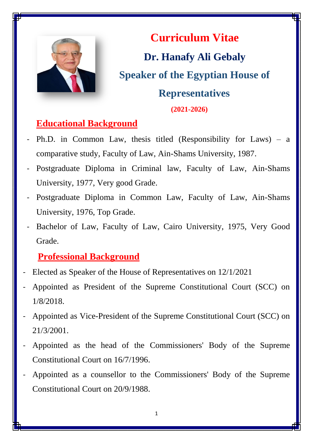

**Curriculum Vitae Dr. Hanafy Ali Gebaly Speaker of the Egyptian House of Representatives (2021-2026)**

### **Educational Background**

- Ph.D. in Common Law, thesis titled (Responsibility for Laws) a comparative study, Faculty of Law, Ain-Shams University, 1987.
- Postgraduate Diploma in Criminal law, Faculty of Law, Ain-Shams University, 1977, Very good Grade.
- Postgraduate Diploma in Common Law, Faculty of Law, Ain-Shams University, 1976, Top Grade.
- Bachelor of Law, Faculty of Law, Cairo University, 1975, Very Good Grade.

### **Professional Background**

- Elected as Speaker of the House of Representatives on 12/1/2021
- Appointed as President of the Supreme Constitutional Court (SCC) on 1/8/2018.
- Appointed as Vice-President of the Supreme Constitutional Court (SCC) on 21/3/2001.
- Appointed as the head of the Commissioners' Body of the Supreme Constitutional Court on 16/7/1996.
- Appointed as a counsellor to the Commissioners' Body of the Supreme Constitutional Court on 20/9/1988.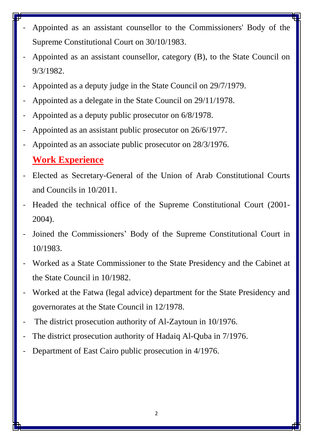- Appointed as an assistant counsellor to the Commissioners' Body of the Supreme Constitutional Court on 30/10/1983.
- Appointed as an assistant counsellor, category (B), to the State Council on 9/3/1982.
- Appointed as a deputy judge in the State Council on 29/7/1979.
- Appointed as a delegate in the State Council on 29/11/1978.
- Appointed as a deputy public prosecutor on  $6/8/1978$ .
- Appointed as an assistant public prosecutor on  $26/6/1977$ .
- Appointed as an associate public prosecutor on  $28/3/1976$ .

#### **Work Experience**

- Elected as Secretary-General of the Union of Arab Constitutional Courts and Councils in 10/2011.
- Headed the technical office of the Supreme Constitutional Court (2001- 2004).
- Joined the Commissioners' Body of the Supreme Constitutional Court in 10/1983.
- Worked as a State Commissioner to the State Presidency and the Cabinet at the State Council in 10/1982.
- Worked at the Fatwa (legal advice) department for the State Presidency and governorates at the State Council in 12/1978.
- The district prosecution authority of Al-Zaytoun in 10/1976.
- The district prosecution authority of Hadaiq Al-Quba in 7/1976.
- Department of East Cairo public prosecution in 4/1976.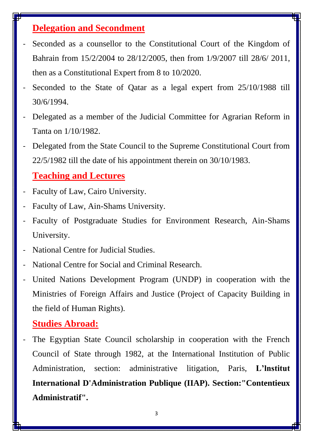## **Delegation and Secondment**

- Seconded as a counsellor to the Constitutional Court of the Kingdom of Bahrain from 15/2/2004 to 28/12/2005, then from 1/9/2007 till 28/6/ 2011, then as a Constitutional Expert from 8 to 10/2020.
- Seconded to the State of Qatar as a legal expert from 25/10/1988 till 30/6/1994.
- Delegated as a member of the Judicial Committee for Agrarian Reform in Tanta on 1/10/1982.
- Delegated from the State Council to the Supreme Constitutional Court from 22/5/1982 till the date of his appointment therein on 30/10/1983.

#### **Teaching and Lectures**

- Faculty of Law, Cairo University.
- Faculty of Law, Ain-Shams University.
- Faculty of Postgraduate Studies for Environment Research, Ain-Shams University.
- National Centre for Judicial Studies.
- National Centre for Social and Criminal Research.
- United Nations Development Program (UNDP) in cooperation with the Ministries of Foreign Affairs and Justice (Project of Capacity Building in the field of Human Rights).

#### **Studies Abroad:**

The Egyptian State Council scholarship in cooperation with the French Council of State through 1982, at the International Institution of Public Administration, section: administrative litigation, Paris, **L'lnstitut International D'Administration Publique (IIAP). Section:"Contentieux Administratif".**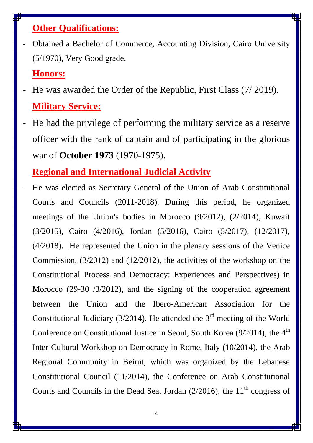## **Other Qualifications:**

- Obtained a Bachelor of Commerce, Accounting Division, Cairo University (5/1970), Very Good grade.

#### **Honors:**

- He was awarded the Order of the Republic, First Class (7/2019). **Military Service:**
- He had the privilege of performing the military service as a reserve officer with the rank of captain and of participating in the glorious war of **October 1973** (1970-1975).

# **Regional and International Judicial Activity**

He was elected as Secretary General of the Union of Arab Constitutional Courts and Councils (2011-2018). During this period, he organized meetings of the Union's bodies in Morocco (9/2012), (2/2014), Kuwait (3/2015), Cairo (4/2016), Jordan (5/2016), Cairo (5/2017), (12/2017), (4/2018). He represented the Union in the plenary sessions of the Venice Commission, (3/2012) and (12/2012), the activities of the workshop on the Constitutional Process and Democracy: Experiences and Perspectives) in Morocco (29-30 /3/2012), and the signing of the cooperation agreement between the Union and the Ibero-American Association for the Constitutional Judiciary (3/2014). He attended the  $3<sup>rd</sup>$  meeting of the World Conference on Constitutional Justice in Seoul, South Korea  $(9/2014)$ , the  $4<sup>th</sup>$ Inter-Cultural Workshop on Democracy in Rome, Italy (10/2014), the Arab Regional Community in Beirut, which was organized by the Lebanese Constitutional Council (11/2014), the Conference on Arab Constitutional Courts and Councils in the Dead Sea, Jordan  $(2/2016)$ , the  $11<sup>th</sup>$  congress of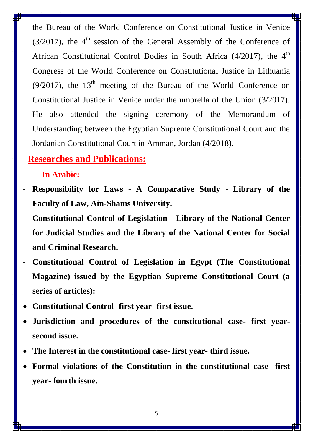the Bureau of the World Conference on Constitutional Justice in Venice  $(3/2017)$ , the 4<sup>th</sup> session of the General Assembly of the Conference of African Constitutional Control Bodies in South Africa  $(4/2017)$ , the  $4<sup>th</sup>$ Congress of the World Conference on Constitutional Justice in Lithuania (9/2017), the  $13<sup>th</sup>$  meeting of the Bureau of the World Conference on Constitutional Justice in Venice under the umbrella of the Union (3/2017). He also attended the signing ceremony of the Memorandum of Understanding between the Egyptian Supreme Constitutional Court and the Jordanian Constitutional Court in Amman, Jordan (4/2018).

### **Researches and Publications:**

#### **In Arabic:**

- **Responsibility for Laws - A Comparative Study - Library of the Faculty of Law, Ain-Shams University.**
- **Constitutional Control of Legislation - Library of the National Center for Judicial Studies and the Library of the National Center for Social and Criminal Research.**
- **Constitutional Control of Legislation in Egypt (The Constitutional Magazine) issued by the Egyptian Supreme Constitutional Court (a series of articles):**
- **Constitutional Control- first year- first issue.**
- **Jurisdiction and procedures of the constitutional case- first yearsecond issue.**
- **The Interest in the constitutional case- first year- third issue.**
- **Formal violations of the Constitution in the constitutional case- first year- fourth issue.**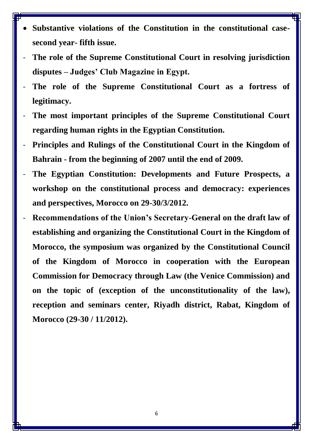- **Substantive violations of the Constitution in the constitutional casesecond year- fifth issue.**
- The role of the Supreme Constitutional Court in resolving jurisdiction **disputes – Judges' Club Magazine in Egypt.**
- The role of the Supreme Constitutional Court as a fortress of **legitimacy.**
- **The most important principles of the Supreme Constitutional Court regarding human rights in the Egyptian Constitution.**
- **Principles and Rulings of the Constitutional Court in the Kingdom of Bahrain - from the beginning of 2007 until the end of 2009.**
- **The Egyptian Constitution: Developments and Future Prospects, a workshop on the constitutional process and democracy: experiences and perspectives, Morocco on 29-30/3/2012.**
- **Recommendations of the Union's Secretary-General on the draft law of establishing and organizing the Constitutional Court in the Kingdom of Morocco, the symposium was organized by the Constitutional Council of the Kingdom of Morocco in cooperation with the European Commission for Democracy through Law (the Venice Commission) and on the topic of (exception of the unconstitutionality of the law), reception and seminars center, Riyadh district, Rabat, Kingdom of Morocco (29-30 / 11/2012).**